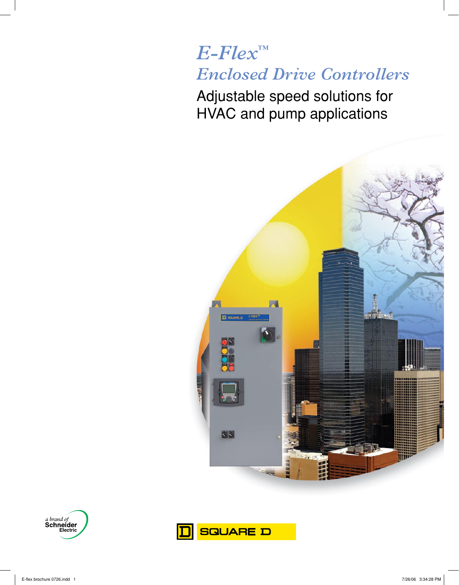# *E-Flex™ Enclosed Drive Controllers*

Adjustable speed solutions for HVAC and pump applications





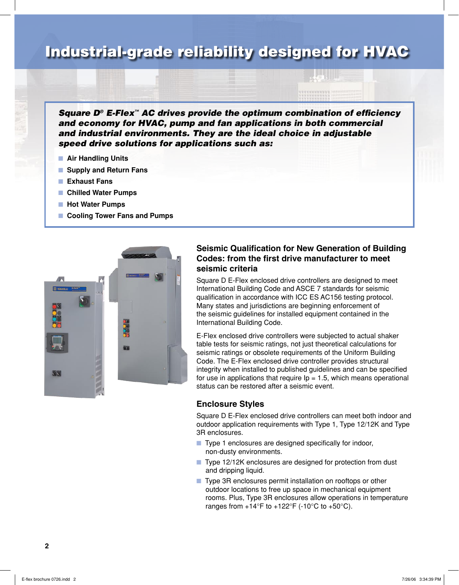## Industrial-grade reliability designed for HVAC

*Square D® E-Flex™ AC drives provide the optimum combination of efficiency and economy for HVAC, pump and fan applications in both commercial and industrial environments. They are the ideal choice in adjustable speed drive solutions for applications such as:*

- **n** Air Handling Units
- **n** Supply and Return Fans
- **n** Exhaust Fans
- Chilled Water Pumps
- Hot Water Pumps
- Cooling Tower Fans and Pumps



#### **Seismic Qualification for New Generation of Building Codes: from the first drive manufacturer to meet seismic criteria**

Square D E-Flex enclosed drive controllers are designed to meet International Building Code and ASCE 7 standards for seismic qualification in accordance with ICC ES AC156 testing protocol. Many states and jurisdictions are beginning enforcement of the seismic guidelines for installed equipment contained in the International Building Code.

E-Flex enclosed drive controllers were subjected to actual shaker table tests for seismic ratings, not just theoretical calculations for seismic ratings or obsolete requirements of the Uniform Building Code. The E-Flex enclosed drive controller provides structural integrity when installed to published guidelines and can be specified for use in applications that require  $lp = 1.5$ , which means operational status can be restored after a seismic event.

#### **Enclosure Styles**

Square D E-Flex enclosed drive controllers can meet both indoor and outdoor application requirements with Type 1, Type 12/12K and Type 3R enclosures.

- $\blacksquare$  Type 1 enclosures are designed specifically for indoor, non-dusty environments.
- Type 12/12K enclosures are designed for protection from dust and dripping liquid.
- Type 3R enclosures permit installation on rooftops or other outdoor locations to free up space in mechanical equipment rooms. Plus, Type 3R enclosures allow operations in temperature ranges from  $+14^{\circ}$ F to  $+122^{\circ}$ F (-10 $^{\circ}$ C to  $+50^{\circ}$ C).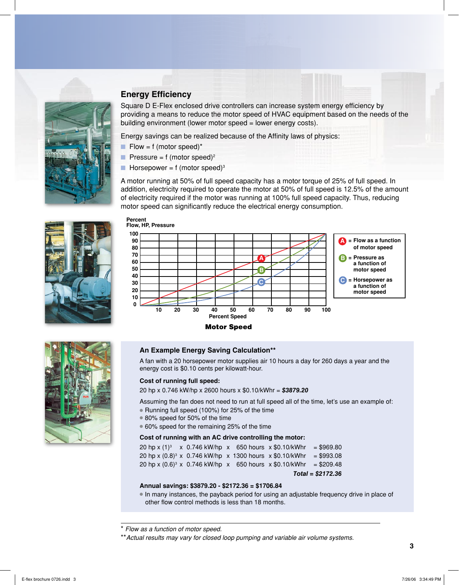

### **Energy Efficiency**

Square D E-Flex enclosed drive controllers can increase system energy efficiency by providing a means to reduce the motor speed of HVAC equipment based on the needs of the building environment (lower motor speed = lower energy costs).

Energy savings can be realized because of the Affinity laws of physics:

- $\blacksquare$  Flow = f (motor speed)\*
- **Pressure = f** (motor speed)<sup>2</sup>
- **n** Horsepower = f (motor speed)<sup>3</sup>

A motor running at 50% of full speed capacity has a motor torque of 25% of full speed. In addition, electricity required to operate the motor at 50% of full speed is 12.5% of the amount of electricity required if the motor was running at 100% full speed capacity. Thus, reducing motor speed can significantly reduce the electrical energy consumption.



#### **Percent Flow, HP, Pressure**





#### **An Example Energy Saving Calculation\*\***

A fan with a 20 horsepower motor supplies air 10 hours a day for 260 days a year and the energy cost is \$0.10 cents per kilowatt-hour.

#### **Cost of running full speed:**

20 hp x 0.746 kW/hp x 2600 hours x \$0.10/kWhr = **\$3879.20**

Assuming the fan does not need to run at full speed all of the time, let's use an example of:

- Running full speed (100%) for 25% of the time
- 80% speed for 50% of the time
- 60% speed for the remaining 25% of the time

#### **Cost of running with an AC drive controlling the motor:**

20 hp x  $(1)^3$  x 0.746 kW/hp x 650 hours x \$0.10/kWhr = \$969.80 20 hp x  $(0.8)^3$  x 0.746 kW/hp x 1300 hours x \$0.10/kWhr = \$993.08 20 hp x  $(0.6)^3$  x 0.746 kW/hp x 650 hours x \$0.10/kWhr = \$209.48 **Total = \$2172.36**

#### **Annual savings: \$3879.20 - \$2172.36 = \$1706.84**

In many instances, the payback period for using an adjustable frequency drive in place of other flow control methods is less than 18 months.

<sup>\*</sup> *Flow as a function of motor speed.*

<sup>\*\*</sup>*Actual results may vary for closed loop pumping and variable air volume systems.*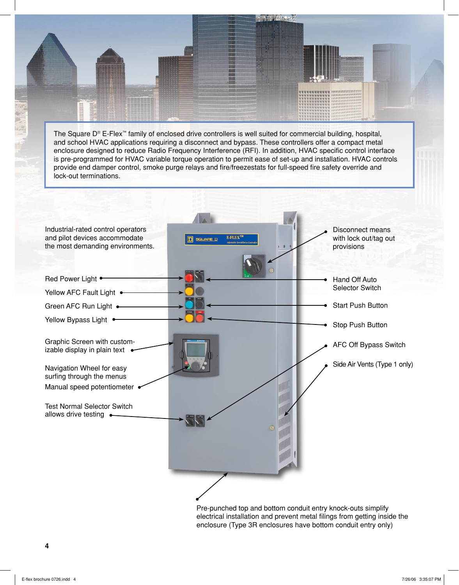The Square D® E-Flex™ family of enclosed drive controllers is well suited for commercial building, hospital, and school HVAC applications requiring a disconnect and bypass. These controllers offer a compact metal enclosure designed to reduce Radio Frequency Interference (RFI). In addition, HVAC specific control interface is pre-programmed for HVAC variable torque operation to permit ease of set-up and installation. HVAC controls provide end damper control, smoke purge relays and fire/freezestats for full-speed fire safety override and lock-out terminations.



electrical installation and prevent metal filings from getting inside the enclosure (Type 3R enclosures have bottom conduit entry only)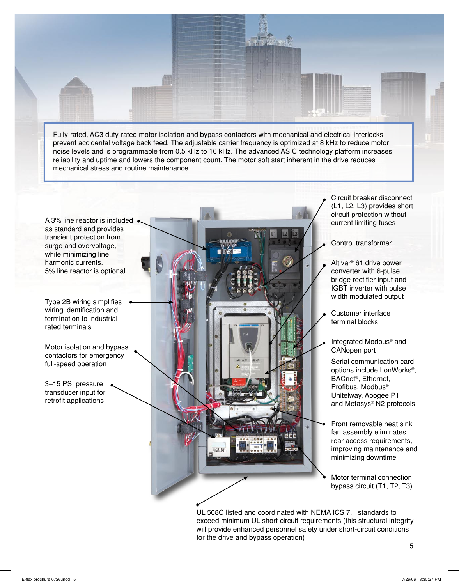Fully-rated, AC3 duty-rated motor isolation and bypass contactors with mechanical and electrical interlocks prevent accidental voltage back feed. The adjustable carrier frequency is optimized at 8 kHz to reduce motor noise levels and is programmable from 0.5 kHz to 16 kHz. The advanced ASIC technology platform increases reliability and uptime and lowers the component count. The motor soft start inherent in the drive reduces mechanical stress and routine maintenance.

A 3% line reactor is included . as standard and provides transient protection from surge and overvoltage, while minimizing line harmonic currents. 5% line reactor is optional

Type 2B wiring simplifies wiring identification and termination to industrialrated terminals

Motor isolation and bypass contactors for emergency full-speed operation

3–15 PSI pressure transducer input for retrofit applications



Circuit breaker disconnect (L1, L2, L3) provides short circuit protection without current limiting fuses

Control transformer

- Altivar® 61 drive power converter with 6-pulse bridge rectifier input and IGBT inverter with pulse width modulated output
- Customer interface terminal blocks
- Integrated Modbus® and CANopen port

Serial communication card options include LonWorks®, BACnet®, Ethernet, Profibus, Modbus® Unitelway, Apogee P1 and Metasys® N2 protocols

- Front removable heat sink fan assembly eliminates rear access requirements, improving maintenance and minimizing downtime
- Motor terminal connection bypass circuit (T1, T2, T3)

UL 508C listed and coordinated with NEMA ICS 7.1 standards to exceed minimum UL short-circuit requirements (this structural integrity will provide enhanced personnel safety under short-circuit conditions for the drive and bypass operation)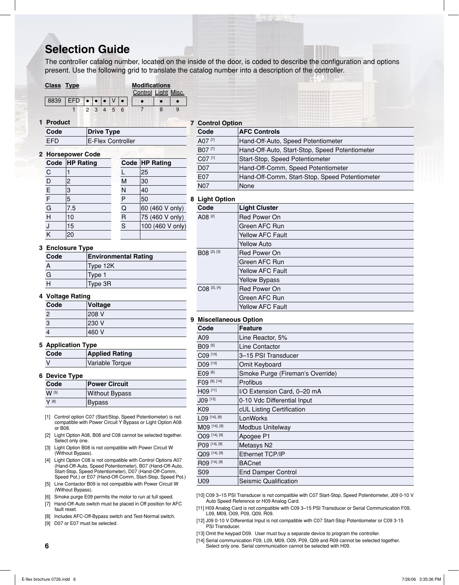### **Selection Guide**

The controller catalog number, located on the inside of the door, is coded to describe the configuration and options present. Use the following grid to translate the catalog number into a description of the controller.

#### **Class Type Modifications**

|                                                   |  |  | Control Light Misc. |  |
|---------------------------------------------------|--|--|---------------------|--|
| 8839   EFD $\bullet \bullet \bullet \vee \bullet$ |  |  |                     |  |
|                                                   |  |  |                     |  |

**1 Product**

| Code | Drive Type |        |  |
|------|------------|--------|--|
| ---  |            | $\sim$ |  |

| EFD | <b>E-Flex Controller</b> |
|-----|--------------------------|
|     |                          |

|                | <b>2 Horsepower Code</b> |   |                  |
|----------------|--------------------------|---|------------------|
|                | Code HP Rating           |   | Code HP Rating   |
| С              |                          |   | 25               |
| D              | 2                        | M | 30               |
| $\overline{E}$ | 3                        | N | 40               |
| $\bar{F}$      | 5                        | P | 50               |
| G              | 7.5                      | Q | 60 (460 V only)  |
| Н              | 10                       | R | 75 (460 V only)  |
|                | 15                       | S | 100 (460 V only) |
|                | 20                       |   |                  |

#### **7 Control Option**

| Code       | <b>AFC Controls</b>                            |  |
|------------|------------------------------------------------|--|
| A07 [7]    | Hand-Off-Auto, Speed Potentiometer             |  |
| B07 [7]    | Hand-Off-Auto, Start-Stop, Speed Potentiometer |  |
| C07 [1]    | Start-Stop, Speed Potentiometer                |  |
| <b>D07</b> | Hand-Off-Comm, Speed Potentiometer             |  |
| E07        | Hand-Off-Comm, Start-Stop, Speed Potentiometer |  |
| <b>N07</b> | None                                           |  |

#### **8 Light Option**

| Light Option            |                      |  |
|-------------------------|----------------------|--|
| Code                    | <b>Light Cluster</b> |  |
| A08 <sup>[2]</sup>      | Red Power On         |  |
|                         | lGreen AFC Run       |  |
|                         | Yellow AFC Fault     |  |
|                         | <b>Yellow Auto</b>   |  |
| <b>BO8</b> [2], [3]     | lRed Power On        |  |
|                         | lGreen AFC Run       |  |
|                         | Yellow AFC Fault     |  |
|                         | Yellow Bypass        |  |
| CO8 <sup>[2], [4]</sup> | Red Power On         |  |
|                         | lGreen AFC Run       |  |
|                         | Yellow AFC Fault     |  |

#### **9 Miscellaneous Option**

| oooaooao opo    |                                  |  |
|-----------------|----------------------------------|--|
| Code            | <b>Feature</b>                   |  |
| A09             | Line Reactor, 5%                 |  |
| B09 [5]         | Line Contactor                   |  |
| C09 [10]        | 3-15 PSI Transducer              |  |
| D09 [13]        | Omit Keyboard                    |  |
| E09 [6]         | Smoke Purge (Fireman's Override) |  |
| F09 [9], [14]   | Profibus                         |  |
| H09 [11]        | I/O Extension Card, 0-20 mA      |  |
| J09 [12]        | 0-10 Vdc Differential Input      |  |
| K09             | cUL Listing Certification        |  |
| $L09$ [14], [9] | LonWorks                         |  |
| M09 [14], [9]   | <b>Modbus Unitelway</b>          |  |
| 009 [14], [9]   | Apogee P1                        |  |
| P09 [14], [9]   | Metasys N2                       |  |
| Q09 [14], [9]   | Ethernet TCP/IP                  |  |
| R09 [14], [9]   | <b>BACnet</b>                    |  |
| S <sub>09</sub> | <b>End Damper Control</b>        |  |
| U09             | Seismic Qualification            |  |
|                 |                                  |  |

[10] C09 3–15 PSI Transducer is not compatible with C07 Start-Stop, Speed Potentiometer, J09 0-10 V Auto Speed Reference or H09 Analog Card.

[11] H09 Analog Card is not compatible with C09 3–15 PSI Transducer or Serial Communication F09, L09, M09, O09, P09, Q09, R09.

- [12] J09 0-10 V Differential Input is not compatible with C07 Start-Stop Potentiometer or C09 3-15 PSI Transducer.
- [13] Omit the keypad D09. User must buy a separate device to program the controller.

[14] Serial communication F09, L09, M09, O09, P09, Q09 and R09 cannot be selected together. Select only one. Serial communication cannot be selected with H09.

|  | <b>3 Enclosure Type</b> |  |
|--|-------------------------|--|
|  |                         |  |

| Code | <b>Environmental Rating</b> |
|------|-----------------------------|
|      | Type 12K                    |
| G    | Type 1                      |
|      | Type 3R                     |

#### **4 Voltage Rating**

| -    | -       |
|------|---------|
| Code | Voltage |
| 2    | 208 V   |
| 3    | 230 V   |
|      | 460 V   |

#### **5 Application Type**

| Code | <b>Applied Rating</b> |
|------|-----------------------|
|      | Variable Torque       |

#### **6 Device Type**

| Code  | <b>Power Circuit</b>  |
|-------|-----------------------|
| W [5] | <b>Without Bypass</b> |
| V [8] | Bypass                |

[1] Control option C07 (Start/Stop, Speed Potentiometer) is not compatible with Power Circuit Y Bypass or Light Option A08 or B08.

- [2] Light Option A08, B08 and C08 cannot be selected together. Select only one.
- [3] Light Option B08 is not compatible with Power Circuit W (Without Bypass).
- [4] Light Option C08 is not compatible with Control Options A07 (Hand-Off-Auto, Speed Potentiometer), B07 (Hand-Off-Auto, Start-Stop, Speed Potentiometer), D07 (Hand-Off-Comm, Speed Pot.) or E07 (Hand-Off-Comm, Start-Stop, Speed Pot.)
- [5] Line Contactor B09 is not compatible with Power Circuit W (Without Bypass).
- [6] Smoke purge E09 permits the motor to run at full speed.
- [7] Hand-Off-Auto switch must be placed in Off position for AFC fault reset.
- [8] Includes AFC-Off-Bypass switch and Test-Normal switch.
- [9] D07 or E07 must be selected.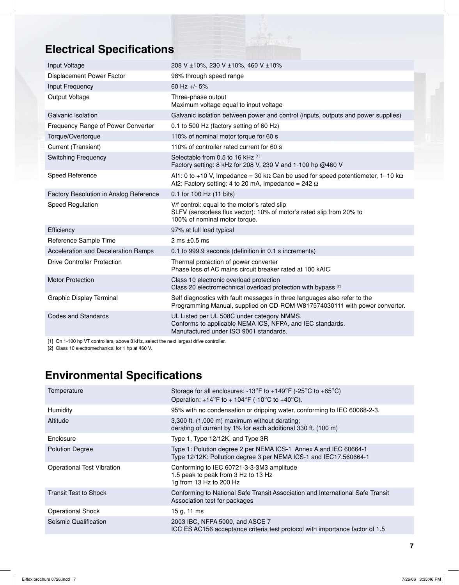## **Electrical Specifications**

| Input Voltage                          | 208 V ±10%, 230 V ±10%, 460 V ±10%                                                                                                                            |
|----------------------------------------|---------------------------------------------------------------------------------------------------------------------------------------------------------------|
| Displacement Power Factor              | 98% through speed range                                                                                                                                       |
| Input Frequency                        | 60 Hz +/- 5%                                                                                                                                                  |
| Output Voltage                         | Three-phase output<br>Maximum voltage equal to input voltage                                                                                                  |
| Galvanic Isolation                     | Galvanic isolation between power and control (inputs, outputs and power supplies)                                                                             |
| Frequency Range of Power Converter     | 0.1 to 500 Hz (factory setting of 60 Hz)                                                                                                                      |
| Torque/Overtorque                      | 110% of nominal motor torque for 60 s                                                                                                                         |
| Current (Transient)                    | 110% of controller rated current for 60 s                                                                                                                     |
| <b>Switching Frequency</b>             | Selectable from 0.5 to 16 kHz [1]<br>Factory setting: 8 kHz for 208 V, 230 V and 1-100 hp @460 V                                                              |
| Speed Reference                        | Al1: 0 to +10 V, Impedance = 30 k $\Omega$ Can be used for speed potentiometer, 1-10 k $\Omega$<br>Al2: Factory setting: 4 to 20 mA, Impedance = 242 $\Omega$ |
| Factory Resolution in Analog Reference | 0.1 for 100 Hz (11 bits)                                                                                                                                      |
| Speed Regulation                       | V/f control: equal to the motor's rated slip<br>SLFV (sensorless flux vector): 10% of motor's rated slip from 20% to<br>100% of nominal motor torque.         |
| Efficiency                             | 97% at full load typical                                                                                                                                      |
| Reference Sample Time                  | 2 ms $\pm 0.5$ ms                                                                                                                                             |
| Acceleration and Deceleration Ramps    | 0.1 to 999.9 seconds (definition in 0.1 s increments)                                                                                                         |
| <b>Drive Controller Protection</b>     | Thermal protection of power converter<br>Phase loss of AC mains circuit breaker rated at 100 kAIC                                                             |
| <b>Motor Protection</b>                | Class 10 electronic overload protection<br>Class 20 electromechnical overload protection with bypass <sup>[2]</sup>                                           |
| Graphic Display Terminal               | Self diagnostics with fault messages in three languages also refer to the<br>Programming Manual, supplied on CD-ROM W817574030111 with power converter.       |
| Codes and Standards                    | UL Listed per UL 508C under category NMMS.<br>Conforms to applicable NEMA ICS, NFPA, and IEC standards.<br>Manufactured under ISO 9001 standards.             |
|                                        |                                                                                                                                                               |

[1] On 1-100 hp VT controllers, above 8 kHz, select the next largest drive controller.

[2] Class 10 electromechanical for 1 hp at 460 V.

## **Environmental Specifications**

| Temperature                       | Storage for all enclosures: -13°F to +149°F (-25°C to +65°C)<br>Operation: $+14^{\circ}$ F to $+104^{\circ}$ F (-10°C to $+40^{\circ}$ C). |
|-----------------------------------|--------------------------------------------------------------------------------------------------------------------------------------------|
| Humidity                          | 95% with no condensation or dripping water, conforming to IEC 60068-2-3.                                                                   |
| Altitude                          | 3,300 ft. (1,000 m) maximum without derating;<br>derating of current by 1% for each additional 330 ft. (100 m)                             |
| Enclosure                         | Type 1, Type 12/12K, and Type 3R                                                                                                           |
| <b>Polution Degree</b>            | Type 1: Polution degree 2 per NEMA ICS-1 Annex A and IEC 60664-1<br>Type 12/12K: Pollution degree 3 per NEMA ICS-1 and IEC17.560664-1      |
| <b>Operational Test Vibration</b> | Conforming to IEC 60721-3-3-3M3 amplitude<br>1.5 peak to peak from 3 Hz to 13 Hz<br>1g from 13 Hz to 200 Hz                                |
| <b>Transit Test to Shock</b>      | Conforming to National Safe Transit Association and International Safe Transit<br>Association test for packages                            |
| <b>Operational Shock</b>          | 15 g, 11 ms                                                                                                                                |
| Seismic Qualification             | 2003 IBC, NFPA 5000, and ASCE 7<br>ICC ES AC156 acceptance criteria test protocol with importance factor of 1.5                            |